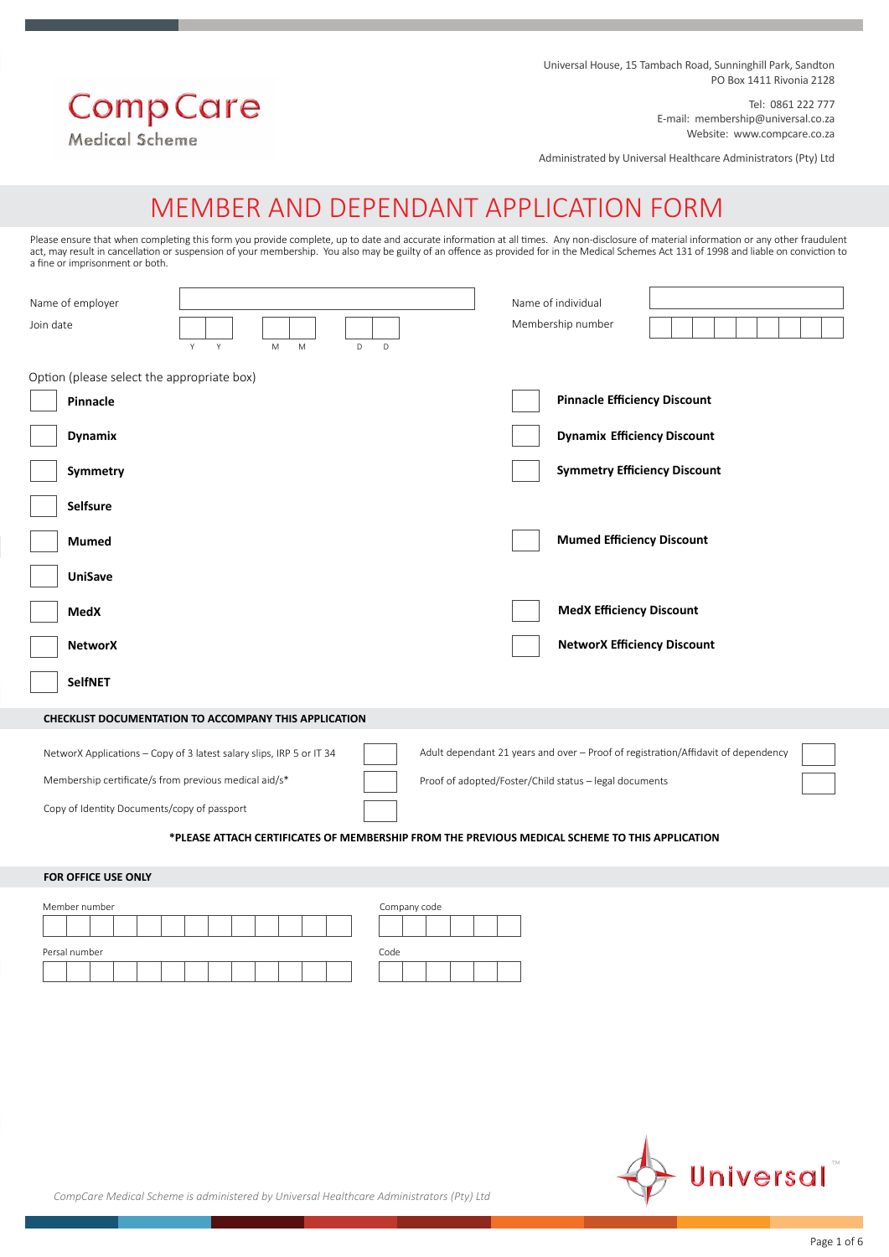Universal House, 15 Tambach Road, Sunninghill Park, Sandton PO Box 1411 Rivonia 2128

# **Comp Care**

Medical Scheme

Administrated by Universal Healthcare Administrators (Pty) Ltd

Tel: 0861 222 777

E-mail: membership@universal.co.za Website: www.compcare.co.za

## MEMBER AND DEPENDANT APPLICATION FORM

Please ensure that when completing this form you provide complete, up to date and accurate information at all times. Any non-disclosure of material information or any other fraudulent act, may result in cancellation or suspension of your membership. You also may be guilty of an offence as provided for in the Medical Schemes Act 131 of 1998 and liable on conviction to a fine or imprisonment or both.

| Name of employer<br>Join date<br>Y<br>Y<br>$\mathsf D$<br>M<br>M<br>D                                                                                                        |  |                                                       |                                         |                                                                                                                                                                                                                                                                                                                                                                                                                                                                                |
|------------------------------------------------------------------------------------------------------------------------------------------------------------------------------|--|-------------------------------------------------------|-----------------------------------------|--------------------------------------------------------------------------------------------------------------------------------------------------------------------------------------------------------------------------------------------------------------------------------------------------------------------------------------------------------------------------------------------------------------------------------------------------------------------------------|
| Option (please select the appropriate box)                                                                                                                                   |  |                                                       |                                         |                                                                                                                                                                                                                                                                                                                                                                                                                                                                                |
|                                                                                                                                                                              |  |                                                       |                                         |                                                                                                                                                                                                                                                                                                                                                                                                                                                                                |
| NetworX Applications - Copy of 3 latest salary slips, IRP 5 or IT 34<br>Membership certificate/s from previous medical aid/s*<br>Copy of Identity Documents/copy of passport |  |                                                       |                                         |                                                                                                                                                                                                                                                                                                                                                                                                                                                                                |
|                                                                                                                                                                              |  | CHECKLIST DOCUMENTATION TO ACCOMPANY THIS APPLICATION | Name of individual<br>Membership number | <b>Pinnacle Efficiency Discount</b><br><b>Dynamix Efficiency Discount</b><br><b>Symmetry Efficiency Discount</b><br><b>Mumed Efficiency Discount</b><br><b>MedX Efficiency Discount</b><br><b>NetworX Efficiency Discount</b><br>Adult dependant 21 years and over - Proof of registration/Affidavit of dependency<br>Proof of adopted/Foster/Child status - legal documents<br>*PLEASE ATTACH CERTIFICATES OF MEMBERSHIP FROM THE PREVIOUS MEDICAL SCHEME TO THIS APPLICATION |

#### **FOR OFFICE USE ONLY**

| Member number |  |  |  |  |  |  | Company code |  |  |  |
|---------------|--|--|--|--|--|--|--------------|--|--|--|
|               |  |  |  |  |  |  |              |  |  |  |
| Persal number |  |  |  |  |  |  | Code         |  |  |  |
|               |  |  |  |  |  |  |              |  |  |  |



*CompCare Medical Scheme is administered by Universal Healthcare Administrators (Pty) Ltd*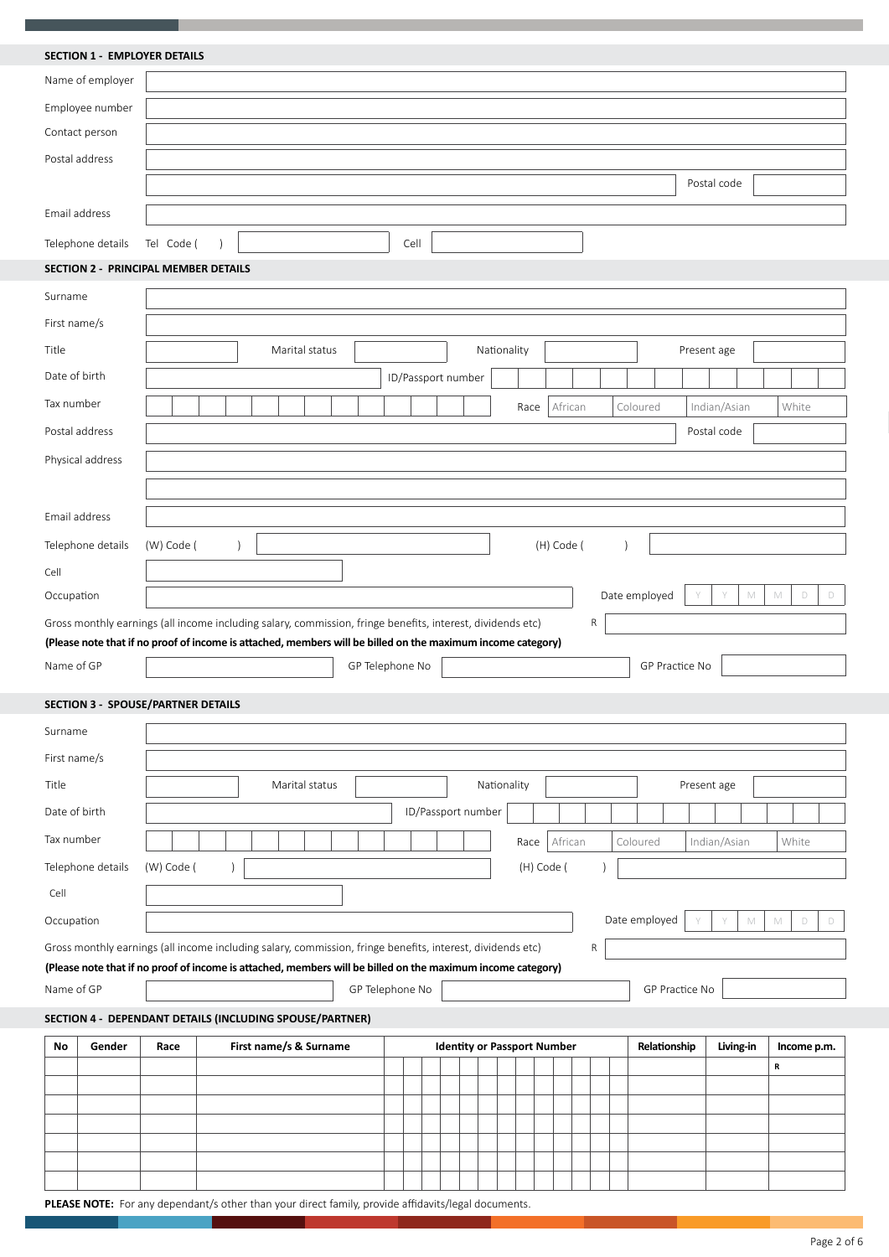#### **SECTION 1 - EMPLOYER DETAILS**

|               | <b>SECTION 1 - EMPLOYER DETAILS</b>       |            |                                                                                                             |                 |      |                                    |             |            |            |   |                |                  |                            |
|---------------|-------------------------------------------|------------|-------------------------------------------------------------------------------------------------------------|-----------------|------|------------------------------------|-------------|------------|------------|---|----------------|------------------|----------------------------|
|               | Name of employer                          |            |                                                                                                             |                 |      |                                    |             |            |            |   |                |                  |                            |
|               | Employee number                           |            |                                                                                                             |                 |      |                                    |             |            |            |   |                |                  |                            |
|               | Contact person                            |            |                                                                                                             |                 |      |                                    |             |            |            |   |                |                  |                            |
|               | Postal address                            |            |                                                                                                             |                 |      |                                    |             |            |            |   |                |                  |                            |
|               |                                           |            |                                                                                                             |                 |      |                                    |             |            |            |   |                | Postal code      |                            |
| Email address |                                           |            |                                                                                                             |                 |      |                                    |             |            |            |   |                |                  |                            |
|               | Telephone details                         | Tel Code ( | $\lambda$                                                                                                   |                 | Cell |                                    |             |            |            |   |                |                  |                            |
|               | SECTION 2 - PRINCIPAL MEMBER DETAILS      |            |                                                                                                             |                 |      |                                    |             |            |            |   |                |                  |                            |
| Surname       |                                           |            |                                                                                                             |                 |      |                                    |             |            |            |   |                |                  |                            |
| First name/s  |                                           |            |                                                                                                             |                 |      |                                    |             |            |            |   |                |                  |                            |
| Title         |                                           |            | Marital status                                                                                              |                 |      |                                    | Nationality |            |            |   |                | Present age      |                            |
| Date of birth |                                           |            |                                                                                                             |                 |      |                                    |             |            |            |   |                |                  |                            |
|               |                                           |            |                                                                                                             |                 |      | ID/Passport number                 |             |            |            |   |                |                  |                            |
| Tax number    |                                           |            |                                                                                                             |                 |      |                                    |             | Race       | African    |   | Coloured       | Indian/Asian     | White                      |
|               | Postal address                            |            |                                                                                                             |                 |      |                                    |             |            |            |   |                | Postal code      |                            |
|               | Physical address                          |            |                                                                                                             |                 |      |                                    |             |            |            |   |                |                  |                            |
|               |                                           |            |                                                                                                             |                 |      |                                    |             |            |            |   |                |                  |                            |
| Email address |                                           |            |                                                                                                             |                 |      |                                    |             |            |            |   |                |                  |                            |
|               | Telephone details                         | (W) Code ( | $\lambda$                                                                                                   |                 |      |                                    |             |            | (H) Code ( |   |                |                  |                            |
| Cell          |                                           |            |                                                                                                             |                 |      |                                    |             |            |            |   |                |                  |                            |
| Occupation    |                                           |            |                                                                                                             |                 |      |                                    |             |            |            |   | Date employed  | Y<br>$\mathbb M$ | $\mathbb M$<br>$\Box$<br>D |
|               |                                           |            | Gross monthly earnings (all income including salary, commission, fringe benefits, interest, dividends etc)  |                 |      |                                    |             |            |            | R |                |                  |                            |
|               |                                           |            | (Please note that if no proof of income is attached, members will be billed on the maximum income category) |                 |      |                                    |             |            |            |   |                |                  |                            |
| Name of GP    |                                           |            |                                                                                                             | GP Telephone No |      |                                    |             |            |            |   | GP Practice No |                  |                            |
|               | <b>SECTION 3 - SPOUSE/PARTNER DETAILS</b> |            |                                                                                                             |                 |      |                                    |             |            |            |   |                |                  |                            |
|               |                                           |            |                                                                                                             |                 |      |                                    |             |            |            |   |                |                  |                            |
| Surname       |                                           |            |                                                                                                             |                 |      |                                    |             |            |            |   |                |                  |                            |
| First name/s  |                                           |            |                                                                                                             |                 |      |                                    |             |            |            |   |                |                  |                            |
| Title         |                                           |            | Marital status                                                                                              |                 |      |                                    | Nationality |            |            |   |                | Present age      |                            |
| Date of birth |                                           |            |                                                                                                             |                 |      | ID/Passport number                 |             |            |            |   |                |                  |                            |
| Tax number    |                                           |            |                                                                                                             |                 |      |                                    |             | Race       | African    |   | Coloured       | Indian/Asian     | White                      |
|               | Telephone details                         | (W) Code ( |                                                                                                             |                 |      |                                    |             | (H) Code ( |            |   |                |                  |                            |
| Cell          |                                           |            |                                                                                                             |                 |      |                                    |             |            |            |   |                |                  |                            |
| Occupation    |                                           |            |                                                                                                             |                 |      |                                    |             |            |            |   | Date employed  | Y<br>M           | $\mathbb M$<br>D<br>D      |
|               |                                           |            | Gross monthly earnings (all income including salary, commission, fringe benefits, interest, dividends etc)  |                 |      |                                    |             |            |            | R |                |                  |                            |
|               |                                           |            | (Please note that if no proof of income is attached, members will be billed on the maximum income category) |                 |      |                                    |             |            |            |   |                |                  |                            |
| Name of GP    |                                           |            |                                                                                                             | GP Telephone No |      |                                    |             |            |            |   | GP Practice No |                  |                            |
|               |                                           |            | SECTION 4 - DEPENDANT DETAILS (INCLUDING SPOUSE/PARTNER)                                                    |                 |      |                                    |             |            |            |   |                |                  |                            |
| No            | Gender                                    | Race       | First name/s & Surname                                                                                      |                 |      | <b>Identity or Passport Number</b> |             |            |            |   | Relationship   | Living-in        | Income p.m.                |
|               |                                           |            |                                                                                                             |                 |      |                                    |             |            |            |   |                |                  | R                          |
|               |                                           |            |                                                                                                             |                 |      |                                    |             |            |            |   |                |                  |                            |
|               |                                           |            |                                                                                                             |                 |      |                                    |             |            |            |   |                |                  |                            |
|               |                                           |            |                                                                                                             |                 |      |                                    |             |            |            |   |                |                  |                            |
|               |                                           |            |                                                                                                             |                 |      |                                    |             |            |            |   |                |                  |                            |

**PLEASE NOTE:** For any dependant/s other than your direct family, provide affidavits/legal documents.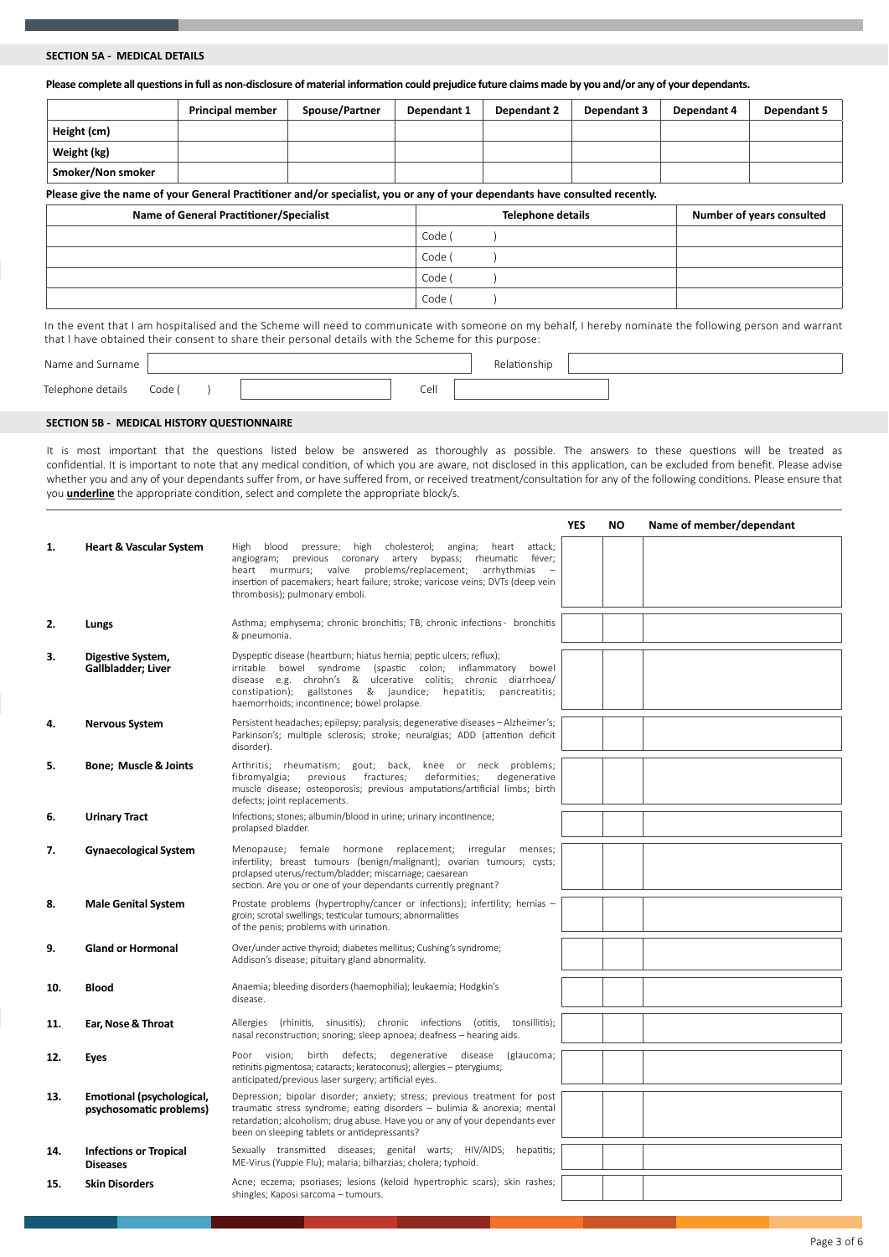#### **SECTION 5A - MEDICAL DETAILS**

**Please complete all questions in full as non-disclosure of material information could prejudice future claims made by you and/or any of your dependants.**

|                   | <b>Principal member</b> | <b>Spouse/Partner</b> | Dependant 1 | Dependant 2 | Dependant 3 | Dependant 4 | Dependant 5 |
|-------------------|-------------------------|-----------------------|-------------|-------------|-------------|-------------|-------------|
| Height (cm)       |                         |                       |             |             |             |             |             |
| Weight (kg)       |                         |                       |             |             |             |             |             |
| Smoker/Non smoker |                         |                       |             |             |             |             |             |

**Please give the name of your General Practitioner and/or specialist, you or any of your dependants have consulted recently.**

| Name of General Practitioner/Specialist | Telephone details | Number of years consulted |
|-----------------------------------------|-------------------|---------------------------|
|                                         | Code (            |                           |
|                                         | Code (            |                           |
|                                         | Code              |                           |
|                                         | Code (            |                           |

In the event that I am hospitalised and the Scheme will need to communicate with someone on my behalf, I hereby nominate the following person and warrant that I have obtained their consent to share their personal details with the Scheme for this purpose:

| Name and Surname  |        |  |      | Relationship |  |  |  |
|-------------------|--------|--|------|--------------|--|--|--|
| Telephone details | Code ( |  | Cell |              |  |  |  |

#### **SECTION 5B - MEDICAL HISTORY QUESTIONNAIRE**

It is most important that the questions listed below be answered as thoroughly as possible. The answers to these questions will be treated as confidential. It is important to note that any medical condition, of which you are aware, not disclosed in this application, can be excluded from benefit. Please advise whether you and any of your dependants suffer from, or have suffered from, or received treatment/consultation for any of the following conditions. Please ensure that you **underline** the appropriate condition, select and complete the appropriate block/s.

|     |                                                      |                                                                                                                                                                                                                                                                                                                        | YES | ΝO | Name of member/dependant |
|-----|------------------------------------------------------|------------------------------------------------------------------------------------------------------------------------------------------------------------------------------------------------------------------------------------------------------------------------------------------------------------------------|-----|----|--------------------------|
| 1.  | <b>Heart &amp; Vascular System</b>                   | blood pressure; high cholesterol; angina; heart attack;<br>High<br>angiogram; previous coronary artery bypass; rheumatic fever;<br>heart murmurs; valve problems/replacement; arrhythmias<br>insertion of pacemakers; heart failure; stroke; varicose veins; DVTs (deep vein<br>thrombosis); pulmonary emboli.         |     |    |                          |
| 2.  | Lungs                                                | Asthma; emphysema; chronic bronchitis; TB; chronic infections - bronchitis<br>& pneumonia.                                                                                                                                                                                                                             |     |    |                          |
| 3.  | Digestive System,<br>Gallbladder; Liver              | Dyspeptic disease (heartburn; hiatus hernia; peptic ulcers; reflux);<br>irritable bowel syndrome (spastic colon; inflammatory bowel<br>disease e.g. chrohn's & ulcerative colitis; chronic diarrhoea/<br>constipation); gallstones & jaundice; hepatitis; pancreatitis;<br>haemorrhoids; incontinence; bowel prolapse. |     |    |                          |
| 4.  | <b>Nervous System</b>                                | Persistent headaches; epilepsy; paralysis; degenerative diseases - Alzheimer's;<br>Parkinson's; multiple sclerosis; stroke; neuralgias; ADD (attention deficit<br>disorder).                                                                                                                                           |     |    |                          |
| 5.  | <b>Bone: Muscle &amp; Joints</b>                     | Arthritis; rheumatism; gout; back, knee or neck problems;<br>previous fractures;<br>deformities;<br>degenerative<br>fibromyalgia;<br>muscle disease; osteoporosis; previous amputations/artificial limbs; birth<br>defects; joint replacements.                                                                        |     |    |                          |
| 6.  | <b>Urinary Tract</b>                                 | Infections; stones; albumin/blood in urine; urinary incontinence;<br>prolapsed bladder.                                                                                                                                                                                                                                |     |    |                          |
| 7.  | <b>Gynaecological System</b>                         | Menopause; female hormone replacement; irregular menses;<br>infertility; breast tumours (benign/malignant); ovarian tumours; cysts;<br>prolapsed uterus/rectum/bladder; miscarriage; caesarean<br>section. Are you or one of your dependants currently pregnant?                                                       |     |    |                          |
| 8.  | <b>Male Genital System</b>                           | Prostate problems (hypertrophy/cancer or infections); infertility; hernias -<br>groin; scrotal swellings; testicular tumours; abnormalities<br>of the penis; problems with urination.                                                                                                                                  |     |    |                          |
| 9.  | <b>Gland or Hormonal</b>                             | Over/under active thyroid; diabetes mellitus; Cushing's syndrome;<br>Addison's disease; pituitary gland abnormality.                                                                                                                                                                                                   |     |    |                          |
| 10. | <b>Blood</b>                                         | Anaemia; bleeding disorders (haemophilia); leukaemia; Hodgkin's<br>disease.                                                                                                                                                                                                                                            |     |    |                          |
| 11. | Ear, Nose & Throat                                   | Allergies (rhinitis, sinusitis); chronic infections (otitis, tonsillitis);<br>nasal reconstruction; snoring; sleep apnoea; deafness - hearing aids.                                                                                                                                                                    |     |    |                          |
| 12. | Eyes                                                 | Poor vision; birth defects; degenerative disease (glaucoma;<br>retinitis pigmentosa; cataracts; keratoconus); allergies - pterygiums;<br>anticipated/previous laser surgery; artificial eyes.                                                                                                                          |     |    |                          |
| 13. | Emotional (psychological,<br>psychosomatic problems) | Depression; bipolar disorder; anxiety; stress; previous treatment for post<br>traumatic stress syndrome; eating disorders - bulimia & anorexia; mental<br>retardation; alcoholism; drug abuse. Have you or any of your dependants ever<br>been on sleeping tablets or antidepressants?                                 |     |    |                          |
| 14. | <b>Infections or Tropical</b><br><b>Diseases</b>     | Sexually transmitted diseases; genital warts; HIV/AIDS; hepatitis;<br>ME-Virus (Yuppie Flu); malaria; bilharzias; cholera; typhoid.                                                                                                                                                                                    |     |    |                          |
| 15. | <b>Skin Disorders</b>                                | Acne; eczema; psoriases; lesions (keloid hypertrophic scars); skin rashes;<br>shingles; Kaposi sarcoma - tumours.                                                                                                                                                                                                      |     |    |                          |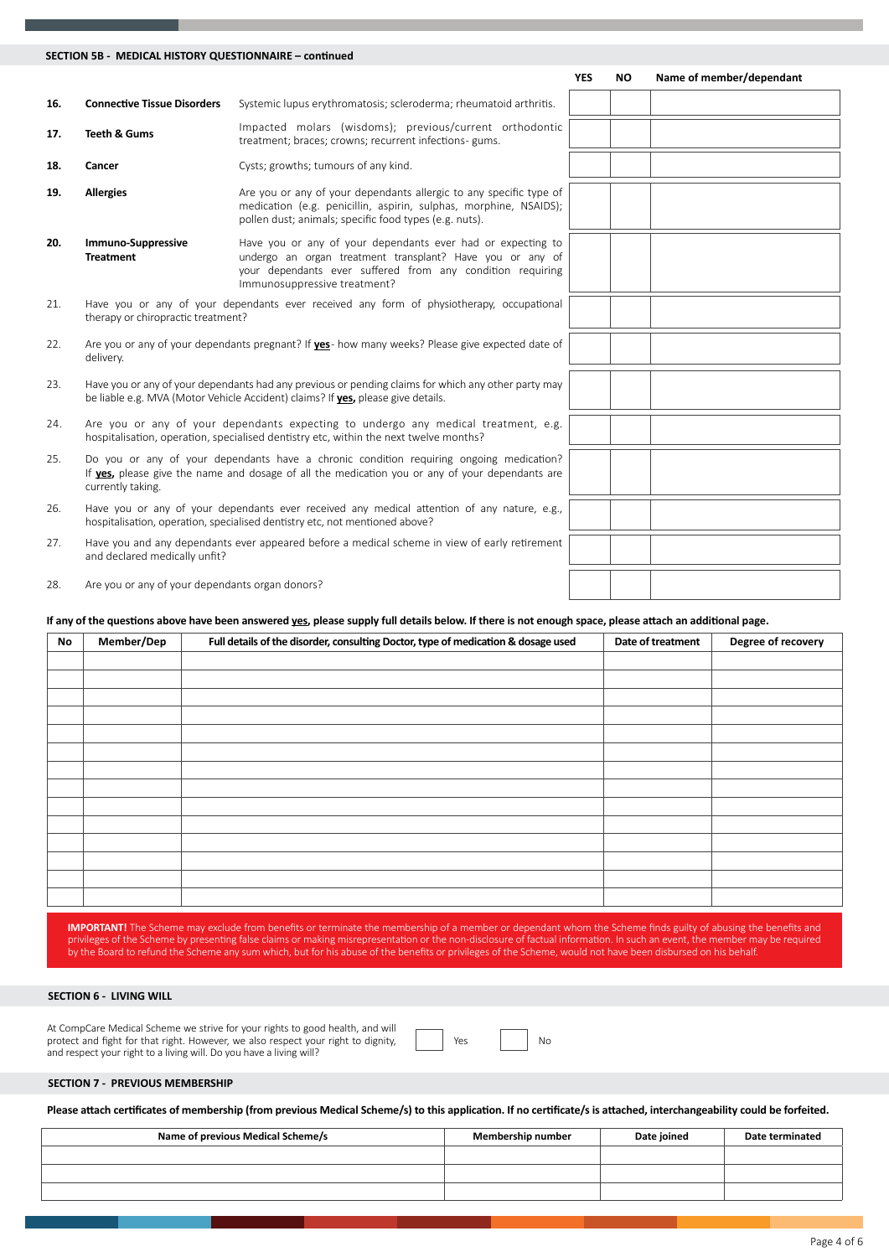#### **SECTION 5B - MEDICAL HISTORY QUESTIONNAIRE – continued**

|     |                                                 |                                                                                                                                                                                                                        | <b>YES</b> | <b>NO</b> | Name of member/dependant |
|-----|-------------------------------------------------|------------------------------------------------------------------------------------------------------------------------------------------------------------------------------------------------------------------------|------------|-----------|--------------------------|
| 16. | <b>Connective Tissue Disorders</b>              | Systemic lupus erythromatosis; scleroderma; rheumatoid arthritis.                                                                                                                                                      |            |           |                          |
| 17. | <b>Teeth &amp; Gums</b>                         | Impacted molars (wisdoms); previous/current orthodontic<br>treatment; braces; crowns; recurrent infections- gums.                                                                                                      |            |           |                          |
| 18. | Cancer                                          | Cysts; growths; tumours of any kind.                                                                                                                                                                                   |            |           |                          |
| 19. | <b>Allergies</b>                                | Are you or any of your dependants allergic to any specific type of<br>medication (e.g. penicillin, aspirin, sulphas, morphine, NSAIDS);<br>pollen dust; animals; specific food types (e.g. nuts).                      |            |           |                          |
| 20. | <b>Immuno-Suppressive</b><br><b>Treatment</b>   | Have you or any of your dependants ever had or expecting to<br>undergo an organ treatment transplant? Have you or any of<br>your dependants ever suffered from any condition requiring<br>Immunosuppressive treatment? |            |           |                          |
| 21. | therapy or chiropractic treatment?              | Have you or any of your dependants ever received any form of physiotherapy, occupational                                                                                                                               |            |           |                          |
| 22. | delivery.                                       | Are you or any of your dependants pregnant? If <b>yes</b> - how many weeks? Please give expected date of                                                                                                               |            |           |                          |
| 23. |                                                 | Have you or any of your dependants had any previous or pending claims for which any other party may<br>be liable e.g. MVA (Motor Vehicle Accident) claims? If yes, please give details.                                |            |           |                          |
| 24. |                                                 | Are you or any of your dependants expecting to undergo any medical treatment, e.g.<br>hospitalisation, operation, specialised dentistry etc, within the next twelve months?                                            |            |           |                          |
| 25. | currently taking.                               | Do you or any of your dependants have a chronic condition requiring ongoing medication?<br>If yes, please give the name and dosage of all the medication you or any of your dependants are                             |            |           |                          |
| 26. |                                                 | Have you or any of your dependants ever received any medical attention of any nature, e.g.,<br>hospitalisation, operation, specialised dentistry etc, not mentioned above?                                             |            |           |                          |
| 27. | and declared medically unfit?                   | Have you and any dependants ever appeared before a medical scheme in view of early retirement                                                                                                                          |            |           |                          |
| 28. | Are you or any of your dependants organ donors? |                                                                                                                                                                                                                        |            |           |                          |

#### **If any of the questions above have been answered yes, please supply full details below. If there is not enough space, please attach an additional page.**

| No | Member/Dep | Full details of the disorder, consulting Doctor, type of medication & dosage used | Date of treatment | Degree of recovery |
|----|------------|-----------------------------------------------------------------------------------|-------------------|--------------------|
|    |            |                                                                                   |                   |                    |
|    |            |                                                                                   |                   |                    |
|    |            |                                                                                   |                   |                    |
|    |            |                                                                                   |                   |                    |
|    |            |                                                                                   |                   |                    |
|    |            |                                                                                   |                   |                    |
|    |            |                                                                                   |                   |                    |
|    |            |                                                                                   |                   |                    |
|    |            |                                                                                   |                   |                    |
|    |            |                                                                                   |                   |                    |
|    |            |                                                                                   |                   |                    |
|    |            |                                                                                   |                   |                    |
|    |            |                                                                                   |                   |                    |
|    |            |                                                                                   |                   |                    |

**IMPORTANT!** The Scheme may exclude from benefits or terminate the membership of a member or dependant whom the Scheme finds guilty of abusing the benefits and<br>privileges of the Scheme by presenting false claims or making by the Board to refund the Scheme any sum which, but for his abuse of the benefits or privileges of the Scheme, would not have been disbursed on his behalf.

#### **SECTION 6 - LIVING WILL**

At CompCare Medical Scheme we strive for your rights to good health, and will protect and fight for that right. However, we also respect your right to dignity, and respect your right to a living will. Do you have a living will?

| Yes |  | Nα |
|-----|--|----|
|-----|--|----|

#### **SECTION 7 - PREVIOUS MEMBERSHIP**

**Please attach certificates of membership (from previous Medical Scheme/s) to this application. If no certificate/s is attached, interchangeability could be forfeited.**

| Name of previous Medical Scheme/s | Membership number | Date joined | Date terminated |
|-----------------------------------|-------------------|-------------|-----------------|
|                                   |                   |             |                 |
|                                   |                   |             |                 |
|                                   |                   |             |                 |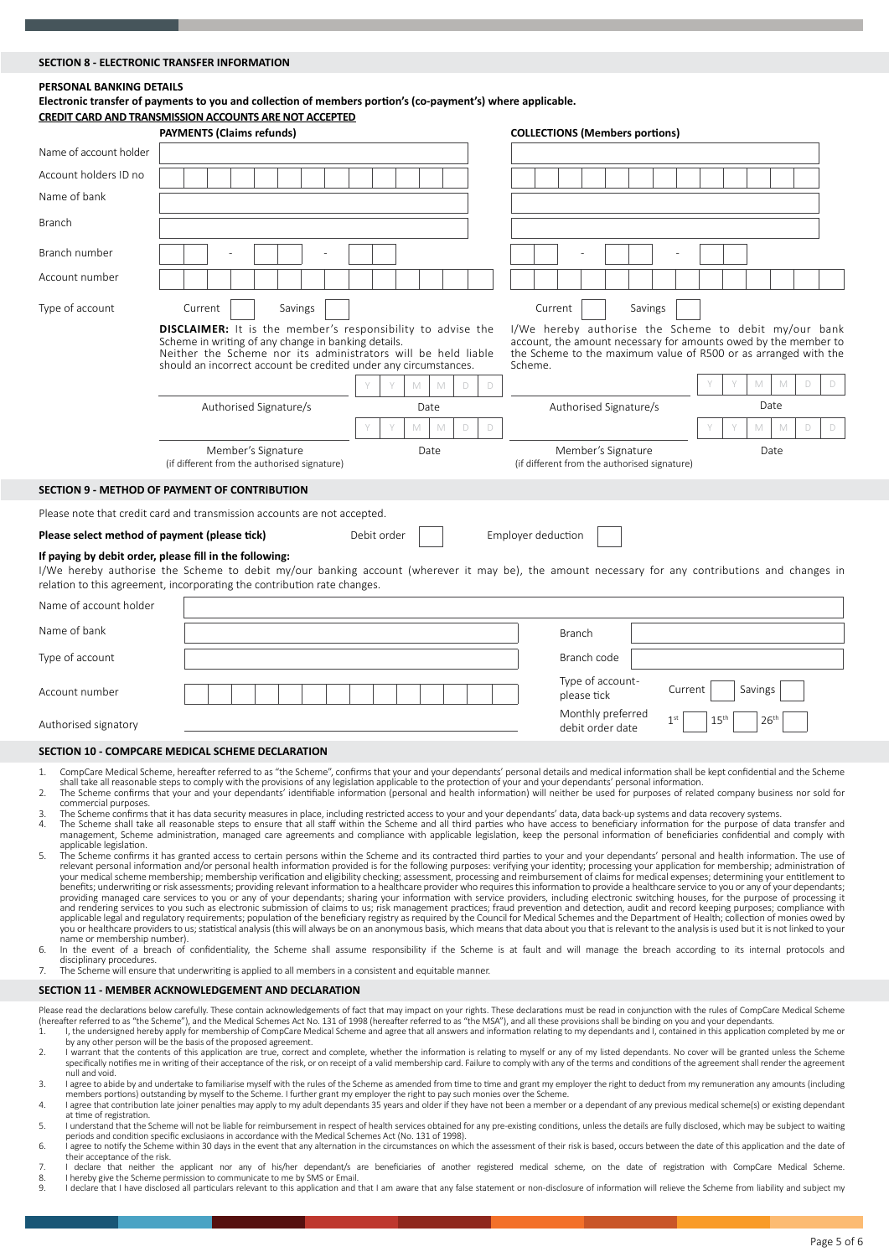#### **SECTION 8 - ELECTRONIC TRANSFER INFORMATION**

#### **PERSONAL BANKING DETAILS**

**Electronic transfer of payments to you and collection of members portion's (co-payment's) where applicable. CREDIT CARD AND TRANSMISSION ACCOUNTS ARE NOT ACCEPTED**

|                                               | <b>PAYMENTS (Claims refunds)</b>                                                                                                                                                                                                                               | <b>COLLECTIONS (Members portions)</b>                                                                                                                                                                  |
|-----------------------------------------------|----------------------------------------------------------------------------------------------------------------------------------------------------------------------------------------------------------------------------------------------------------------|--------------------------------------------------------------------------------------------------------------------------------------------------------------------------------------------------------|
| Name of account holder                        |                                                                                                                                                                                                                                                                |                                                                                                                                                                                                        |
| Account holders ID no                         |                                                                                                                                                                                                                                                                |                                                                                                                                                                                                        |
| Name of bank                                  |                                                                                                                                                                                                                                                                |                                                                                                                                                                                                        |
| <b>Branch</b>                                 |                                                                                                                                                                                                                                                                |                                                                                                                                                                                                        |
| Branch number                                 |                                                                                                                                                                                                                                                                |                                                                                                                                                                                                        |
| Account number                                |                                                                                                                                                                                                                                                                |                                                                                                                                                                                                        |
| Type of account                               | Savings<br>Current                                                                                                                                                                                                                                             | Savings<br>Current                                                                                                                                                                                     |
|                                               | <b>DISCLAIMER:</b> It is the member's responsibility to advise the<br>Scheme in writing of any change in banking details.<br>Neither the Scheme nor its administrators will be held liable<br>should an incorrect account be credited under any circumstances. | I/We hereby authorise the Scheme to debit my/our bank<br>account, the amount necessary for amounts owed by the member to<br>the Scheme to the maximum value of R500 or as arranged with the<br>Scheme. |
|                                               | M<br>M<br>D<br>D                                                                                                                                                                                                                                               | M<br>M<br>D<br>D                                                                                                                                                                                       |
|                                               | Authorised Signature/s<br>Date                                                                                                                                                                                                                                 | Date<br>Authorised Signature/s                                                                                                                                                                         |
|                                               | M<br>M<br>D<br>$\Box$                                                                                                                                                                                                                                          | M<br>M<br>D<br>$\Box$                                                                                                                                                                                  |
|                                               | Member's Signature<br>Date<br>(if different from the authorised signature)                                                                                                                                                                                     | Member's Signature<br>Date<br>(if different from the authorised signature)                                                                                                                             |
|                                               | SECTION 9 - METHOD OF PAYMENT OF CONTRIBUTION                                                                                                                                                                                                                  |                                                                                                                                                                                                        |
|                                               | Please note that credit card and transmission accounts are not accepted.                                                                                                                                                                                       |                                                                                                                                                                                                        |
| Please select method of payment (please tick) | Debit order                                                                                                                                                                                                                                                    | Employer deduction                                                                                                                                                                                     |
|                                               | If paying by debit order, please fill in the following:<br>relation to this agreement, incorporating the contribution rate changes.                                                                                                                            | I/We hereby authorise the Scheme to debit my/our banking account (wherever it may be), the amount necessary for any contributions and changes in                                                       |
| Name of account holder                        |                                                                                                                                                                                                                                                                |                                                                                                                                                                                                        |
| Name of bank                                  |                                                                                                                                                                                                                                                                | <b>Branch</b>                                                                                                                                                                                          |
| Type of account                               |                                                                                                                                                                                                                                                                | Branch code                                                                                                                                                                                            |
| Account number                                |                                                                                                                                                                                                                                                                | Type of account-<br>Current<br>Savings<br>please tick                                                                                                                                                  |
| Authorised signatory                          |                                                                                                                                                                                                                                                                | Monthly preferred<br>26 <sup>th</sup><br>1 <sup>st</sup><br>15 <sup>th</sup><br>debit order date                                                                                                       |

#### **SECTION 10 - COMPCARE MEDICAL SCHEME DECLARATION**

- 
- CompCare Medical Scheme, hereafter referred to as "the Scheme", confirms that your and your dependants' personal details and medical information shall be kept confidential and the Scheme<br>Bill take all reasonable steps to c commercial purposes.
- 3. The Scheme confirms that it has data security measures in place, including restricted access to your and your dependants' data, data back-up systems and data recovery systems.<br>4. The Scheme shall take all reasonable ste management, Scheme administration, managed care agreements and compliance with applicable legislation, keep the personal information of beneficiaries confidential and comply with
- applicable legislation. sp-<br>The Scheme confirms it has granted access to certain persons within the Scheme and its contracted third parties to your and your dependants' personal and health information. The use of relevant personal information and/or personal health information provided is for the following purposes: verifying your identity; processing your application for membership; administration of your dependents of the followi you or healthcare providers to us; statistical analysis (this will always be on an anonymous basis, which means that data about you that is relevant to the analysis is used but it is not linked to your name or membership number).
- 6. In the event of a breach of confidentiality, the Scheme shall assume responsibility if the Scheme is at fault and will manage the breach according to its internal protocols and<br>disciplinary procedures.

7. The Scheme will ensure that underwriting is applied to all members in a consistent and equitable manner.

#### **SECTION 11 - MEMBER ACKNOWLEDGEMENT AND DECLARATION**

Please read the declarations below carefully. These contain acknowledgements of fact that may impact on your rights. These declarations must be read in conjunction with the rules of CompCare Medical Scheme<br>(hereafter refer

- by any other person will be the basis of the proposed agreement.<br>2. I warrant that the contents of this application are true, correct and complete, whether the information is relating to myself or any of my listed dependan specifically notifies me in writing of their acceptance of the risk, or on receipt of a valid membership card. Failure to comply with any of the terms and conditions of the agreement shall render the agreement null and void.
- 3. I agree to abide by and undertake to familiarise myself with the rules of the Scheme as amended from time to time and grant my employer the right to deduct from my remuneration any amounts (including<br>members portions) o
- 4. I agree that contribution late joiner penalties may apply to my adult dependants 35 years and older if they have not been a member or a dependant of any previous medical scheme(s) or existing dependant at time of registration.
- 5. I understand that the Scheme will not be liable for reimbursement in respect of health services obtained for any pre-existing conditions, unless the details are fully disclosed, which may be subject to waiting periods and condition specific exclusiaons in accordance with the Medical Schemes Act (No. 131 of 1998).
- 6. I agree to notify the Scheme within 30 days in the event that any alternation in the circumstances on which the assessment of their risk is based, occurs between the date of this application and the date of their acceptance of the risk.
- 7. I declare that neither the applicant nor any of his/her dependant/s are beneficiaries of another registered medical scheme, on the date of registration with CompCare Medical Scheme.<br>8. IherebygivetheSchemepermissiontoco
- 9. I declare that I have disclosed all particulars relevant to this application and that I am aware that any false statement or non-disclosure of information will relieve the Scheme from liability and subject my